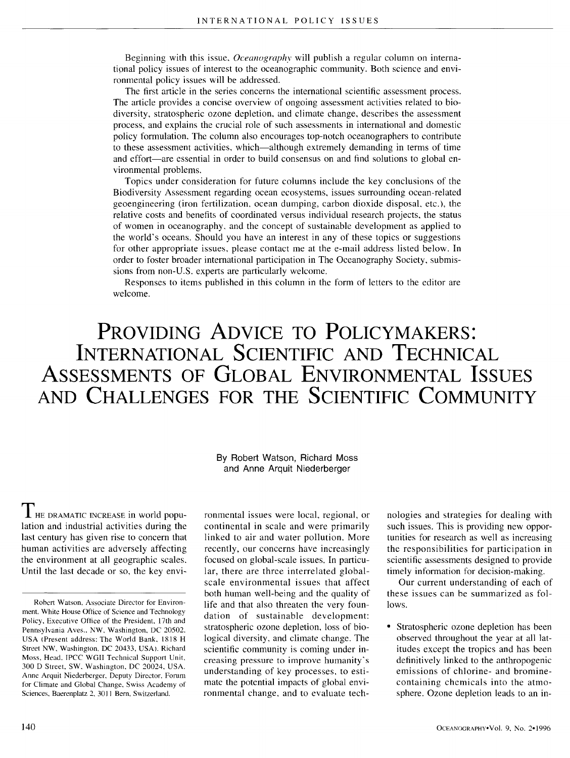Beginning with this issue, *Oceanography* will publish a regular column on international policy issues of interest to the oceanographic community. Both science and environmental policy issues will be addressed.

The first article in the series concerns the international scientific assessment process. The article provides a concise overview of ongoing assessment activities related to biodiversity, stratospheric ozone depletion, and climate change, describes the assessment process, and explains the crucial role of such assessments in international and domestic policy formulation, The column also encourages top-notch oceanographers to contribute to these assessment activities, which--although extremely demanding in terms of time and effort--are essential in order to build consensus on and find solutions to global environmental problems.

Topics under consideration for future columns include the key conclusions of the Biodiversity Assessment regarding ocean ecosystems, issues surrounding ocean-related geoengineering (iron fertilization, ocean dumping, carbon dioxide disposal, etc.), the relative costs and benefits of coordinated versus individual research projects, the status of women in oceanography, and the concept of sustainable development as applied to the world's oceans. Should you have an interest in any of these topics or suggestions for other appropriate issues, please contact me at the e-mail address listed below. In order to foster broader international participation in The Oceanography Society, submissions from non-U.S, experts are particularly welcome.

Responses to items published in this column in the form of letters to the editor are welcome.

## **PROVIDING ADVICE TO POLICYMAKERS: INTERNATIONAL SCIENTIFIC AND TECHNICAL ASSESSMENTS OF GLOBAL ENVIRONMENTAL ISSUES AND CHALLENGES FOR THE SCIENTIFIC COMMUNITY**

By Robert Watson, Richard Moss and Anne Arquit Niederberger

I HE DRAMATIC INCREASE in world population and industrial activities during the last century has given rise to concern that human activities are adversely affecting the environment at all geographic scales, Until the last decade or so, the key envi-

ronmental issues were local, regional, or continental in scale and were primarily linked to air and water pollution. More recently, our concerns have increasingly focused on global-scale issues. In particular, there are three interrelated globalscale environmental issues that affect both human well-being and the quality of life and that also threaten the very foundation of sustainable development: stratospheric ozone depletion, loss of biological diversity, and climate change. The scientific community is coming under increasing pressure to improve humanity's understanding of key processes, to estimate the potential impacts of global environmental change, and to evaluate technologies and strategies for dealing with such issues. This is providing new opportunities for research as well as increasing the responsibilities for participation in scientific assessments designed to provide timely information *for* decision-making.

Our current understanding of each of these issues can be summarized as follows.

Stratospheric ozone depletion has been observed throughout the year at all latitudes except the tropics and has been definitively linked to the anthropogenic emissions of chlorine- and brominecontaining chemicals into the atmosphere. Ozone depletion leads to an in-

Robert Watson, Associate Director for Environment, White House Office of Science and Technology Policy, Executive Office of the President, 17th and Pennsylvania Aves., NW, Washington, DC 20502. USA {Present address: The World Bank, 1818 H Street NW, Washington, DC 20433, USA). Richard Moss, Head. IPCC WGII Technical Support Unit, 300 D Street, SW, Washington, DC 20024, USA. Anne Arquit Niederberger, Deputy Director, Forum for Climate and Global Change, Swiss Academy of Sciences, Baerenplatz 2, 3011 Bern, Switzerland.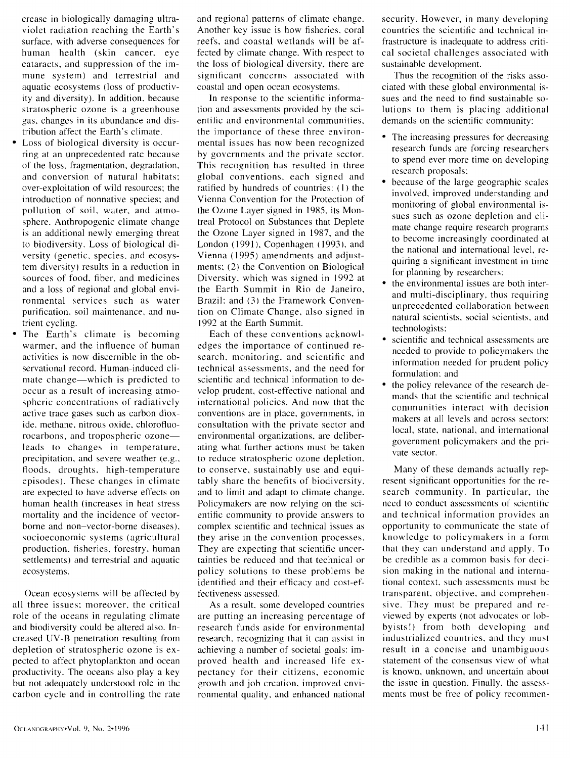crease in biologically damaging ultraviolet radiation reaching the Earth's surface, with adverse consequences for human health (skin cancer, eye cataracts, and suppression of the immune system) and terrestrial and aquatic ecosystems (loss of productivity and diversity). In addition, because stratospheric ozone is a greenhouse gas, changes in its abundance and distribution affect the Earth's climate.

- Loss of biological diversity is occurring at an unprecedented rate because of the loss, fragmentation, degradation, and conversion of natural habitats: over-exploitation of wild resources; the introduction of nonnative species; and pollution of soil, water, and atmosphere. Anthropogenic climate change is an additional newly emerging threat to biodiversity. Loss of biological diversity (genetic, species, and ecosystem diversity) results in a reduction in sources of food, fiber, and medicines and a loss of regional and global environmental services such as water purification, soil maintenance, and nutrient cycling.
- The Earth's climate is becoming warmer, and the influence of human activities is now discernible in the observational record. Human-induced climate change—which is predicted to occur as a result of increasing atmospheric concentrations of radiatively active trace gases such as carbon dioxide, methane, nitrous oxide, chlorofluorocarbons, and tropospheric ozone-leads to changes in temperature, precipitation, and severe weather (e.g., floods, droughts, high-temperature episodes). These changes in climate are expected to have adverse effects on human health (increases in heat stress mortality and the incidence of vectorborne and non-vector-borne diseases). socioeconomic systems (agricultural production, fisheries, forestry, human settlements) and terrestrial and aquatic ecosystems.

Ocean ecosystems will be affected by all three issues: moreover, the critical role of the oceans in regulating climate and biodiversity could be altered also. Increased UV-B penetration resulting from depletion of stratospheric ozone is expected to affect phytoplankton and ocean productivity. The oceans also play a key but not adequately understood role in the carbon cycle and in controlling the rate and regional patterns of climate change. Another key issue is how fisheries, coral reefs, and coastal wetlands will be affected by climate change. With respect to the loss of biological diversity, there are significant concerns associated with coastal and open ocean ecosystems.

In response to the scientific information and assessments provided by the scientific and environmental communities, the importance of these three environmental issues has now been recognized by governments and the private sector. This recognition has resulted in three global conventions, each signed and ratified by hundreds of countries: (1) the Vienna Convention for the Protection of the Ozone Layer signed in 1985, its Montreal Protocol on Substances that Deplete the Ozone Layer signed in 1987, and the London (1991), Copenhagen (1993), and Vienna (1995) amendments and adjustments: (2) the Convention on Biological Diversity, which was signed in 1992 at the Earth Summit in Rio de Janeiro, Brazil: and (3) the Framework Convention on Climate Change, also signed in 1992 at the Earth Summit.

Each of these conventions acknowledges the importance of continued research, monitoring, and scientific and technical assessments, and the need for scientific and technical information to develop prudent, cost-effective national and international policies. And now that the conventions are in place, governments, in consultation with the private sector and environmental organizations, are deliberating what further actions must be taken to reduce stratospheric ozone depletion, to conserve, sustainably use and equitably share the benefits of biodiversity, and to limit and adapt to climate change. Policymakers are now relying on the scientific community to provide answers to complex scientific and technical issues as they arise in the convention processes. They are expecting that scientific uncertainties be reduced and that technical or policy solutions to these problems be identified and their efficacy and cost-effectiveness assessed.

As a result, some developed countries are putting an increasing percentage of research funds aside for environmental research, recognizing that it can assist in achieving a number of societal goals: improved health and increased life expectancy for their citizens, economic growth and job creation, improved environmental quality, and enhanced national security. However, in many developing countries the scientific and technical infrastructure is inadequate to address critical societal challenges associated with sustainable development.

Thus the recognition of the risks associated with these global environmental issues and the need to find sustainable solutions to them is placing additional demands on the scientific community:

- The increasing pressures for decreasing research funds are forcing researchers to spend ever more time on developing research proposals:
- because of the large geographic scales involved, improved understanding and monitoring of global environmental issues such as ozone depletion and climate change require research programs to become increasingly coordinated at the national and international level, requiring a significant investment in time for planning by researchers:
- the environmental issues are both interand multi-disciplinary, thus requiring unprecedented collaboration between natural scientists, social scientists, and technologists:
- scientific and technical assessments are needed to provide to policymakers the information needed for prudent policy formulation: and
- the policy relevance of the research demands that the scientific and technical communities interact with decision makers at all levels and across sectors: local, state, national, and international government policymakers and the private sector.

Many of these demands actually represent significant opportunities for the research community. In particular, the need to conduct assessments of scientific and technical information provides an opportunity to communicate the state of knowledge to policymakers in a form that they can understand and apply. To be credible as a common basis for decision making in the national and international context, such assessments must be transparent, objective, and comprehensive. They must be prepared and reviewed by experts (not advocates or lobbyists!) from both developing and industrialized countries, and they must result in a concise and unambiguous statement of the consensus view of what is known, unknown, and uncertain about the issue in question. Finally, the assessments must be free of policy recommen-